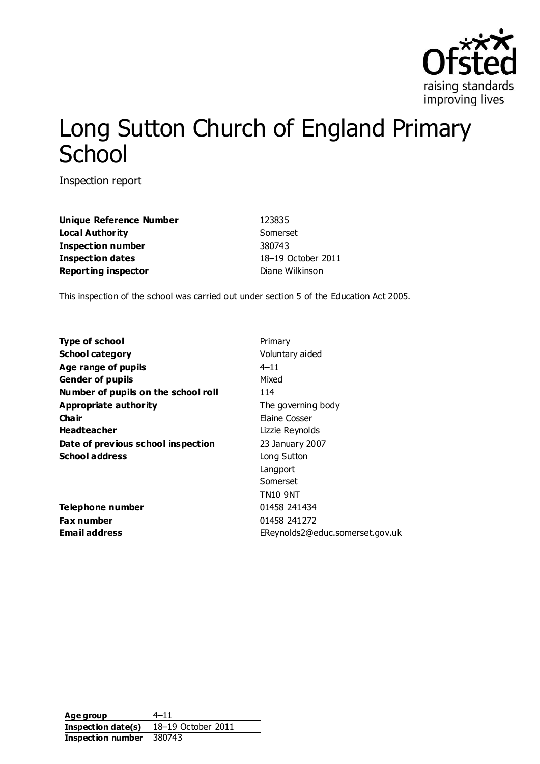

# Long Sutton Church of England Primary **School**

Inspection report

**Unique Reference Number** 123835 **Local Authority** Somerset **Inspection number** 380743 **Inspection dates** 18–19 October 2011 **Reporting inspector Diane Wilkinson** 

This inspection of the school was carried out under section 5 of the Education Act 2005.

| <b>Type of school</b>               | Primary                         |
|-------------------------------------|---------------------------------|
| <b>School category</b>              | Voluntary aided                 |
| Age range of pupils                 | $4 - 11$                        |
| <b>Gender of pupils</b>             | Mixed                           |
| Number of pupils on the school roll | 114                             |
| Appropriate authority               | The governing body              |
| Cha ir                              | Elaine Cosser                   |
| <b>Headteacher</b>                  | Lizzie Reynolds                 |
| Date of previous school inspection  | 23 January 2007                 |
| <b>School address</b>               | Long Sutton                     |
|                                     | Langport                        |
|                                     | Somerset                        |
|                                     | <b>TN10 9NT</b>                 |
| Telephone number                    | 01458 241434                    |
| Fax number                          | 01458 241272                    |
| <b>Email address</b>                | EReynolds2@educ.somerset.gov.uk |
|                                     |                                 |

**Age group** 4–11 **Inspection date(s)** 18–19 October 2011 **Inspection number** 380743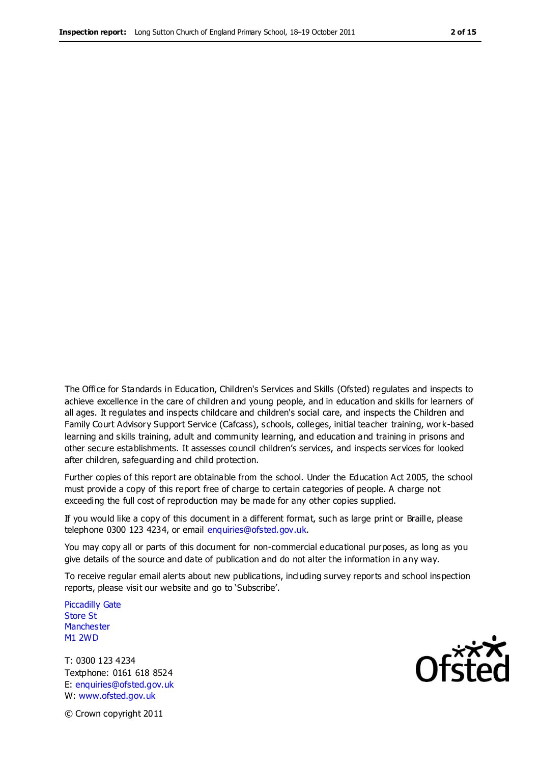The Office for Standards in Education, Children's Services and Skills (Ofsted) regulates and inspects to achieve excellence in the care of children and young people, and in education and skills for learners of all ages. It regulates and inspects childcare and children's social care, and inspects the Children and Family Court Advisory Support Service (Cafcass), schools, colleges, initial teacher training, work-based learning and skills training, adult and community learning, and education and training in prisons and other secure establishments. It assesses council children's services, and inspects services for looked after children, safeguarding and child protection.

Further copies of this report are obtainable from the school. Under the Education Act 2005, the school must provide a copy of this report free of charge to certain categories of people. A charge not exceeding the full cost of reproduction may be made for any other copies supplied.

If you would like a copy of this document in a different format, such as large print or Braille, please telephone 0300 123 4234, or email enquiries@ofsted.gov.uk.

You may copy all or parts of this document for non-commercial educational purposes, as long as you give details of the source and date of publication and do not alter the information in any way.

To receive regular email alerts about new publications, including survey reports and school inspection reports, please visit our website and go to 'Subscribe'.

Piccadilly Gate Store St **Manchester** M1 2WD

T: 0300 123 4234 Textphone: 0161 618 8524 E: enquiries@ofsted.gov.uk W: www.ofsted.gov.uk

Ofsted

© Crown copyright 2011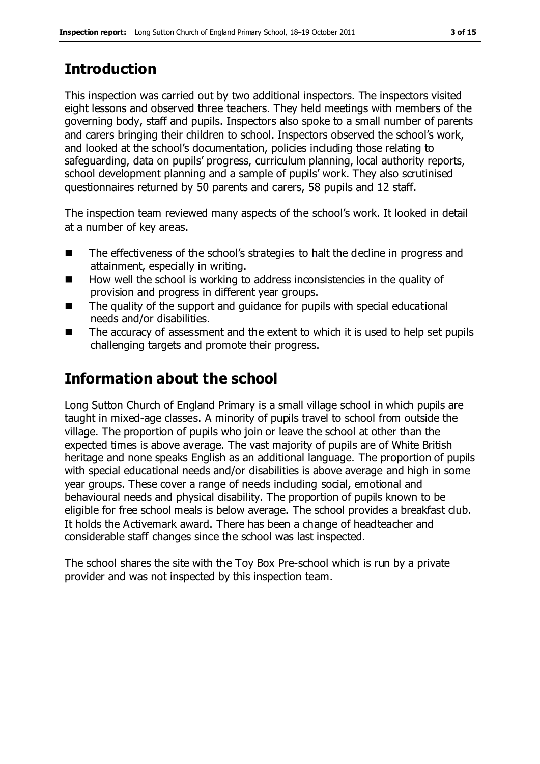# **Introduction**

This inspection was carried out by two additional inspectors. The inspectors visited eight lessons and observed three teachers. They held meetings with members of the governing body, staff and pupils. Inspectors also spoke to a small number of parents and carers bringing their children to school. Inspectors observed the school's work, and looked at the school's documentation, policies including those relating to safeguarding, data on pupils' progress, curriculum planning, local authority reports, school development planning and a sample of pupils' work. They also scrutinised questionnaires returned by 50 parents and carers, 58 pupils and 12 staff.

The inspection team reviewed many aspects of the school's work. It looked in detail at a number of key areas.

- The effectiveness of the school's strategies to halt the decline in progress and attainment, especially in writing.
- $\blacksquare$  How well the school is working to address inconsistencies in the quality of provision and progress in different year groups.
- The quality of the support and quidance for pupils with special educational needs and/or disabilities.
- The accuracy of assessment and the extent to which it is used to help set pupils challenging targets and promote their progress.

# **Information about the school**

Long Sutton Church of England Primary is a small village school in which pupils are taught in mixed-age classes. A minority of pupils travel to school from outside the village. The proportion of pupils who join or leave the school at other than the expected times is above average. The vast majority of pupils are of White British heritage and none speaks English as an additional language. The proportion of pupils with special educational needs and/or disabilities is above average and high in some year groups. These cover a range of needs including social, emotional and behavioural needs and physical disability. The proportion of pupils known to be eligible for free school meals is below average. The school provides a breakfast club. It holds the Activemark award. There has been a change of headteacher and considerable staff changes since the school was last inspected.

The school shares the site with the Toy Box Pre-school which is run by a private provider and was not inspected by this inspection team.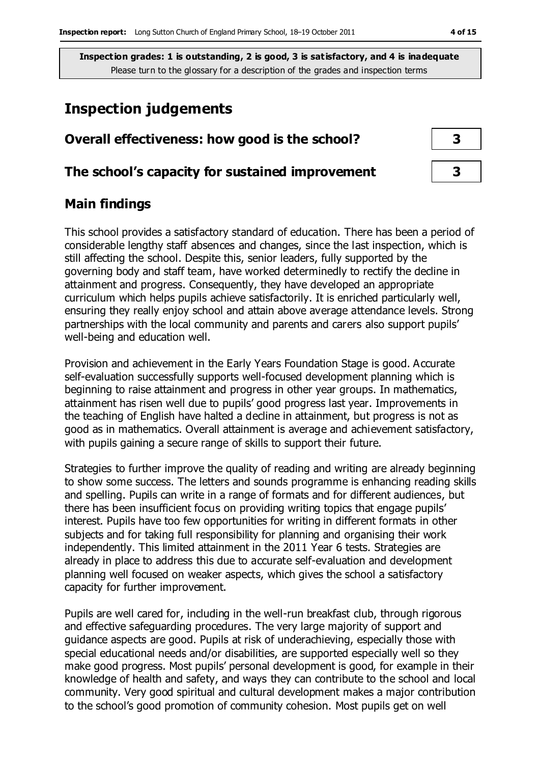# **Inspection judgements**

| Overall effectiveness: how good is the school?  |  |
|-------------------------------------------------|--|
| The school's capacity for sustained improvement |  |
|                                                 |  |

# **Main findings**

This school provides a satisfactory standard of education. There has been a period of considerable lengthy staff absences and changes, since the last inspection, which is still affecting the school. Despite this, senior leaders, fully supported by the governing body and staff team, have worked determinedly to rectify the decline in attainment and progress. Consequently, they have developed an appropriate curriculum which helps pupils achieve satisfactorily. It is enriched particularly well, ensuring they really enjoy school and attain above average attendance levels. Strong partnerships with the local community and parents and carers also support pupils' well-being and education well.

Provision and achievement in the Early Years Foundation Stage is good. Accurate self-evaluation successfully supports well-focused development planning which is beginning to raise attainment and progress in other year groups. In mathematics, attainment has risen well due to pupils' good progress last year. Improvements in the teaching of English have halted a decline in attainment, but progress is not as good as in mathematics. Overall attainment is average and achievement satisfactory, with pupils gaining a secure range of skills to support their future.

Strategies to further improve the quality of reading and writing are already beginning to show some success. The letters and sounds programme is enhancing reading skills and spelling. Pupils can write in a range of formats and for different audiences, but there has been insufficient focus on providing writing topics that engage pupils' interest. Pupils have too few opportunities for writing in different formats in other subjects and for taking full responsibility for planning and organising their work independently. This limited attainment in the 2011 Year 6 tests. Strategies are already in place to address this due to accurate self-evaluation and development planning well focused on weaker aspects, which gives the school a satisfactory capacity for further improvement.

Pupils are well cared for, including in the well-run breakfast club, through rigorous and effective safeguarding procedures. The very large majority of support and guidance aspects are good. Pupils at risk of underachieving, especially those with special educational needs and/or disabilities, are supported especially well so they make good progress. Most pupils' personal development is good, for example in their knowledge of health and safety, and ways they can contribute to the school and local community. Very good spiritual and cultural development makes a major contribution to the school's good promotion of community cohesion. Most pupils get on well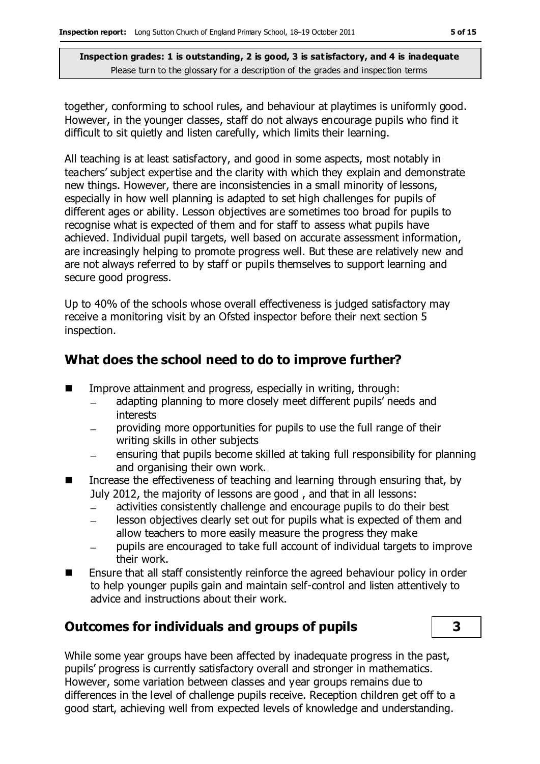together, conforming to school rules, and behaviour at playtimes is uniformly good. However, in the younger classes, staff do not always encourage pupils who find it difficult to sit quietly and listen carefully, which limits their learning.

All teaching is at least satisfactory, and good in some aspects, most notably in teachers' subject expertise and the clarity with which they explain and demonstrate new things. However, there are inconsistencies in a small minority of lessons, especially in how well planning is adapted to set high challenges for pupils of different ages or ability. Lesson objectives are sometimes too broad for pupils to recognise what is expected of them and for staff to assess what pupils have achieved. Individual pupil targets, well based on accurate assessment information, are increasingly helping to promote progress well. But these are relatively new and are not always referred to by staff or pupils themselves to support learning and secure good progress.

Up to 40% of the schools whose overall effectiveness is judged satisfactory may receive a monitoring visit by an Ofsted inspector before their next section 5 inspection.

### **What does the school need to do to improve further?**

- **IMPROVE Attainment and progress, especially in writing, through:** 
	- adapting planning to more closely meet different pupils' needs and interests
	- providing more opportunities for pupils to use the full range of their writing skills in other subjects
	- ensuring that pupils become skilled at taking full responsibility for planning and organising their own work.
- Increase the effectiveness of teaching and learning through ensuring that, by July 2012, the majority of lessons are good , and that in all lessons:
	- activities consistently challenge and encourage pupils to do their best
	- lesson objectives clearly set out for pupils what is expected of them and  $\frac{1}{2}$ allow teachers to more easily measure the progress they make
	- pupils are encouraged to take full account of individual targets to improve their work.
- Ensure that all staff consistently reinforce the agreed behaviour policy in order to help younger pupils gain and maintain self-control and listen attentively to advice and instructions about their work.

# **Outcomes for individuals and groups of pupils 3**

While some year groups have been affected by inadequate progress in the past, pupils' progress is currently satisfactory overall and stronger in mathematics. However, some variation between classes and year groups remains due to differences in the level of challenge pupils receive. Reception children get off to a good start, achieving well from expected levels of knowledge and understanding.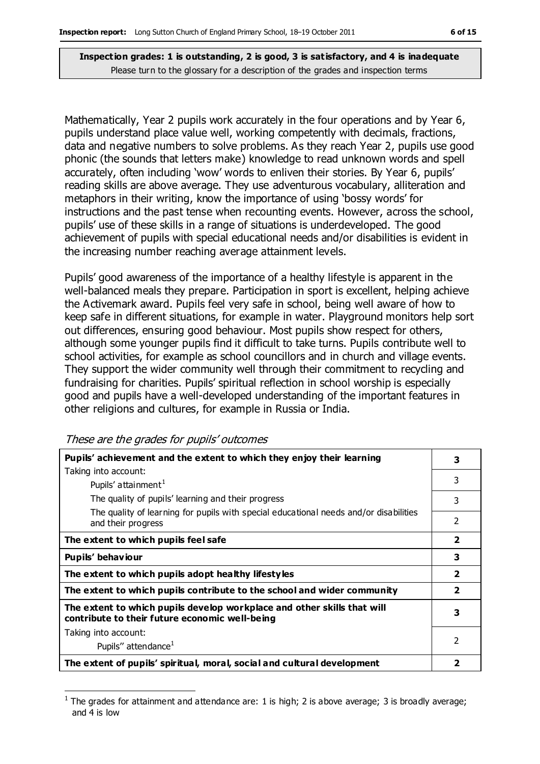Mathematically, Year 2 pupils work accurately in the four operations and by Year 6, pupils understand place value well, working competently with decimals, fractions, data and negative numbers to solve problems. As they reach Year 2, pupils use good phonic (the sounds that letters make) knowledge to read unknown words and spell accurately, often including 'wow' words to enliven their stories. By Year 6, pupils' reading skills are above average. They use adventurous vocabulary, alliteration and metaphors in their writing, know the importance of using 'bossy words' for instructions and the past tense when recounting events. However, across the school, pupils' use of these skills in a range of situations is underdeveloped. The good achievement of pupils with special educational needs and/or disabilities is evident in the increasing number reaching average attainment levels.

Pupils' good awareness of the importance of a healthy lifestyle is apparent in the well-balanced meals they prepare. Participation in sport is excellent, helping achieve the Activemark award. Pupils feel very safe in school, being well aware of how to keep safe in different situations, for example in water. Playground monitors help sort out differences, ensuring good behaviour. Most pupils show respect for others, although some younger pupils find it difficult to take turns. Pupils contribute well to school activities, for example as school councillors and in church and village events. They support the wider community well through their commitment to recycling and fundraising for charities. Pupils' spiritual reflection in school worship is especially good and pupils have a well-developed understanding of the important features in other religions and cultures, for example in Russia or India.

|  |  | These are the grades for pupils' outcomes |
|--|--|-------------------------------------------|
|  |  |                                           |

| Pupils' achievement and the extent to which they enjoy their learning                                                     | 3                       |
|---------------------------------------------------------------------------------------------------------------------------|-------------------------|
| Taking into account:                                                                                                      |                         |
| Pupils' attainment <sup>1</sup>                                                                                           | 3                       |
| The quality of pupils' learning and their progress                                                                        | 3                       |
| The quality of learning for pupils with special educational needs and/or disabilities<br>and their progress               | 2                       |
| The extent to which pupils feel safe                                                                                      | $\overline{\mathbf{2}}$ |
| Pupils' behaviour                                                                                                         | 3                       |
| The extent to which pupils adopt healthy lifestyles                                                                       | $\overline{2}$          |
| The extent to which pupils contribute to the school and wider community                                                   | $\overline{\mathbf{2}}$ |
| The extent to which pupils develop workplace and other skills that will<br>contribute to their future economic well-being | 3                       |
| Taking into account:                                                                                                      |                         |
| Pupils" attendance <sup>1</sup>                                                                                           | $\mathcal{P}$           |
| The extent of pupils' spiritual, moral, social and cultural development                                                   | 2                       |

 $\overline{a}$ 1 The grades for attainment and attendance are: 1 is high; 2 is above average; 3 is broadly average; and 4 is low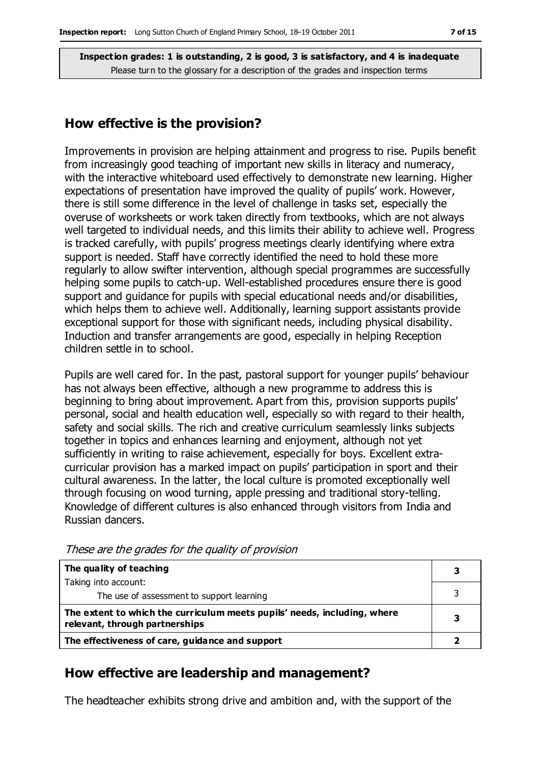### **How effective is the provision?**

Improvements in provision are helping attainment and progress to rise. Pupils benefit from increasingly good teaching of important new skills in literacy and numeracy, with the interactive whiteboard used effectively to demonstrate new learning. Higher expectations of presentation have improved the quality of pupils' work. However, there is still some difference in the level of challenge in tasks set, especially the overuse of worksheets or work taken directly from textbooks, which are not always well targeted to individual needs, and this limits their ability to achieve well. Progress is tracked carefully, with pupils' progress meetings clearly identifying where extra support is needed. Staff have correctly identified the need to hold these more regularly to allow swifter intervention, although special programmes are successfully helping some pupils to catch-up. Well-established procedures ensure there is good support and guidance for pupils with special educational needs and/or disabilities, which helps them to achieve well. Additionally, learning support assistants provide exceptional support for those with significant needs, including physical disability. Induction and transfer arrangements are good, especially in helping Reception children settle in to school.

Pupils are well cared for. In the past, pastoral support for younger pupils' behaviour has not always been effective, although a new programme to address this is beginning to bring about improvement. Apart from this, provision supports pupils' personal, social and health education well, especially so with regard to their health, safety and social skills. The rich and creative curriculum seamlessly links subjects together in topics and enhances learning and enjoyment, although not yet sufficiently in writing to raise achievement, especially for boys. Excellent extracurricular provision has a marked impact on pupils' participation in sport and their cultural awareness. In the latter, the local culture is promoted exceptionally well through focusing on wood turning, apple pressing and traditional story-telling. Knowledge of different cultures is also enhanced through visitors from India and Russian dancers.

| The quality of teaching                                                                                    |  |
|------------------------------------------------------------------------------------------------------------|--|
| Taking into account:                                                                                       |  |
| The use of assessment to support learning                                                                  |  |
| The extent to which the curriculum meets pupils' needs, including, where<br>relevant, through partnerships |  |
| The effectiveness of care, guidance and support                                                            |  |

These are the grades for the quality of provision

### **How effective are leadership and management?**

The headteacher exhibits strong drive and ambition and, with the support of the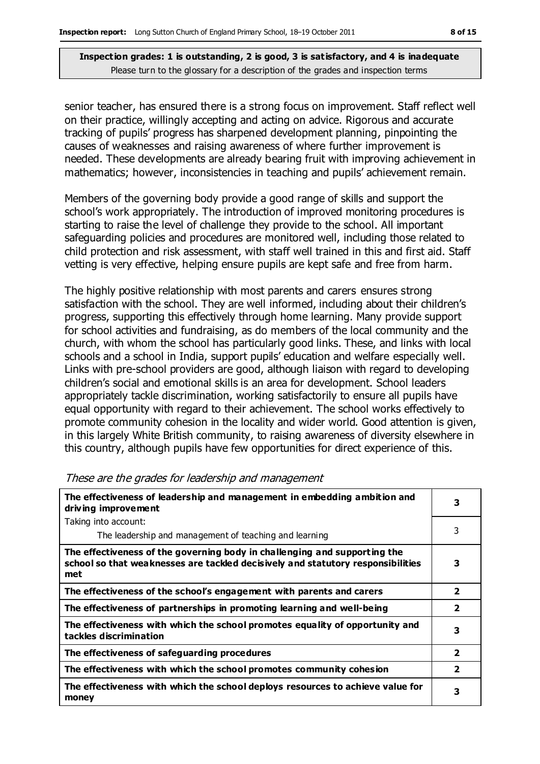senior teacher, has ensured there is a strong focus on improvement. Staff reflect well on their practice, willingly accepting and acting on advice. Rigorous and accurate tracking of pupils' progress has sharpened development planning, pinpointing the causes of weaknesses and raising awareness of where further improvement is needed. These developments are already bearing fruit with improving achievement in mathematics; however, inconsistencies in teaching and pupils' achievement remain.

Members of the governing body provide a good range of skills and support the school's work appropriately. The introduction of improved monitoring procedures is starting to raise the level of challenge they provide to the school. All important safeguarding policies and procedures are monitored well, including those related to child protection and risk assessment, with staff well trained in this and first aid. Staff vetting is very effective, helping ensure pupils are kept safe and free from harm.

The highly positive relationship with most parents and carers ensures strong satisfaction with the school. They are well informed, including about their children's progress, supporting this effectively through home learning. Many provide support for school activities and fundraising, as do members of the local community and the church, with whom the school has particularly good links. These, and links with local schools and a school in India, support pupils' education and welfare especially well. Links with pre-school providers are good, although liaison with regard to developing children's social and emotional skills is an area for development. School leaders appropriately tackle discrimination, working satisfactorily to ensure all pupils have equal opportunity with regard to their achievement. The school works effectively to promote community cohesion in the locality and wider world. Good attention is given, in this largely White British community, to raising awareness of diversity elsewhere in this country, although pupils have few opportunities for direct experience of this.

| The effectiveness of leadership and management in embedding ambition and<br>driving improvement                                                                     |                         |
|---------------------------------------------------------------------------------------------------------------------------------------------------------------------|-------------------------|
| Taking into account:                                                                                                                                                |                         |
| The leadership and management of teaching and learning                                                                                                              | 3                       |
| The effectiveness of the governing body in challenging and supporting the<br>school so that weaknesses are tackled decisively and statutory responsibilities<br>met | 3                       |
| The effectiveness of the school's engagement with parents and carers                                                                                                | $\overline{\mathbf{2}}$ |
| The effectiveness of partnerships in promoting learning and well-being                                                                                              | $\overline{\mathbf{2}}$ |
| The effectiveness with which the school promotes equality of opportunity and<br>tackles discrimination                                                              | 3                       |
| The effectiveness of safeguarding procedures                                                                                                                        | $\overline{\mathbf{2}}$ |
| The effectiveness with which the school promotes community cohesion                                                                                                 | $\overline{\mathbf{2}}$ |
| The effectiveness with which the school deploys resources to achieve value for<br>money                                                                             | 3                       |

#### These are the grades for leadership and management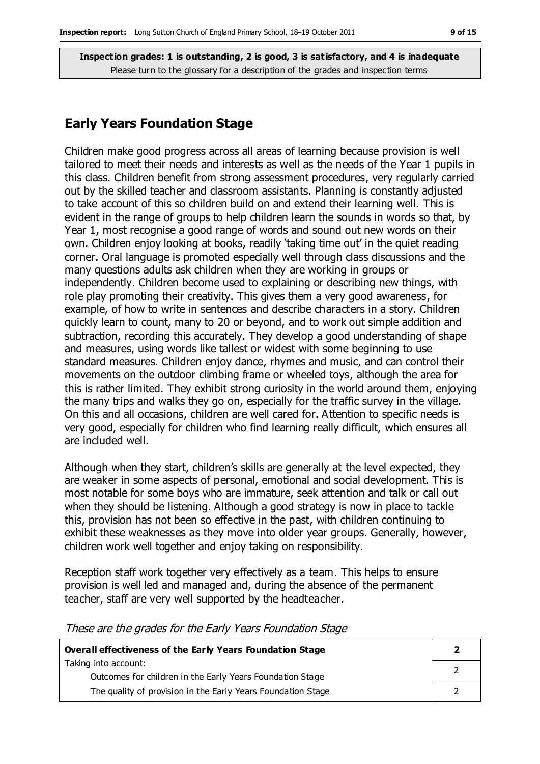### **Early Years Foundation Stage**

Children make good progress across all areas of learning because provision is well tailored to meet their needs and interests as well as the needs of the Year 1 pupils in this class. Children benefit from strong assessment procedures, very regularly carried out by the skilled teacher and classroom assistants. Planning is constantly adjusted to take account of this so children build on and extend their learning well. This is evident in the range of groups to help children learn the sounds in words so that, by Year 1, most recognise a good range of words and sound out new words on their own. Children enjoy looking at books, readily 'taking time out' in the quiet reading corner. Oral language is promoted especially well through class discussions and the many questions adults ask children when they are working in groups or independently. Children become used to explaining or describing new things, with role play promoting their creativity. This gives them a very good awareness, for example, of how to write in sentences and describe characters in a story. Children quickly learn to count, many to 20 or beyond, and to work out simple addition and subtraction, recording this accurately. They develop a good understanding of shape and measures, using words like tallest or widest with some beginning to use standard measures. Children enjoy dance, rhymes and music, and can control their movements on the outdoor climbing frame or wheeled toys, although the area for this is rather limited. They exhibit strong curiosity in the world around them, enjoying the many trips and walks they go on, especially for the traffic survey in the village. On this and all occasions, children are well cared for. Attention to specific needs is very good, especially for children who find learning really difficult, which ensures all are included well.

Although when they start, children's skills are generally at the level expected, they are weaker in some aspects of personal, emotional and social development. This is most notable for some boys who are immature, seek attention and talk or call out when they should be listening. Although a good strategy is now in place to tackle this, provision has not been so effective in the past, with children continuing to exhibit these weaknesses as they move into older year groups. Generally, however, children work well together and enjoy taking on responsibility.

Reception staff work together very effectively as a team. This helps to ensure provision is well led and managed and, during the absence of the permanent teacher, staff are very well supported by the headteacher.

**Overall effectiveness of the Early Years Foundation Stage** Taking into account: Outcomes for children in the Early Years Foundation Stage The quality of provision in the Early Years Foundation Stage **2** 2 2

These are the grades for the Early Years Foundation Stage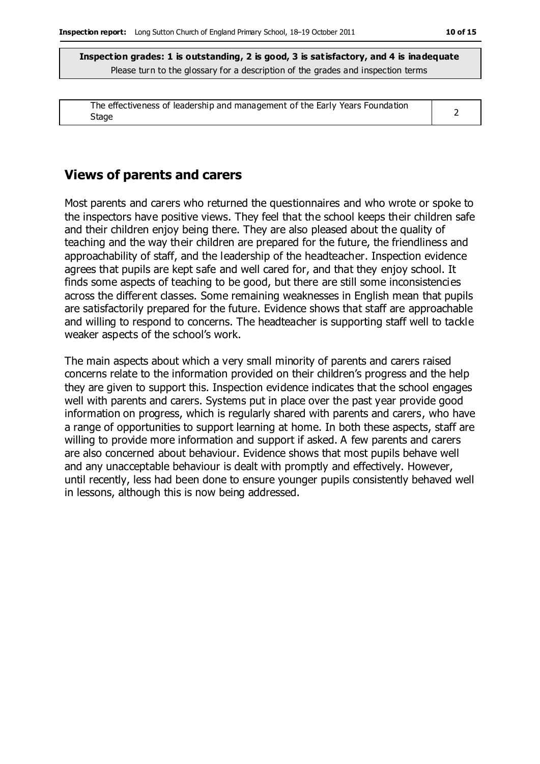| The effectiveness of leadership and management of the Early Years Foundation |  |
|------------------------------------------------------------------------------|--|
| Stage                                                                        |  |

# **Views of parents and carers**

Most parents and carers who returned the questionnaires and who wrote or spoke to the inspectors have positive views. They feel that the school keeps their children safe and their children enjoy being there. They are also pleased about the quality of teaching and the way their children are prepared for the future, the friendliness and approachability of staff, and the leadership of the headteacher. Inspection evidence agrees that pupils are kept safe and well cared for, and that they enjoy school. It finds some aspects of teaching to be good, but there are still some inconsistencies across the different classes. Some remaining weaknesses in English mean that pupils are satisfactorily prepared for the future. Evidence shows that staff are approachable and willing to respond to concerns. The headteacher is supporting staff well to tackle weaker aspects of the school's work.

The main aspects about which a very small minority of parents and carers raised concerns relate to the information provided on their children's progress and the help they are given to support this. Inspection evidence indicates that the school engages well with parents and carers. Systems put in place over the past year provide good information on progress, which is regularly shared with parents and carers, who have a range of opportunities to support learning at home. In both these aspects, staff are willing to provide more information and support if asked. A few parents and carers are also concerned about behaviour. Evidence shows that most pupils behave well and any unacceptable behaviour is dealt with promptly and effectively. However, until recently, less had been done to ensure younger pupils consistently behaved well in lessons, although this is now being addressed.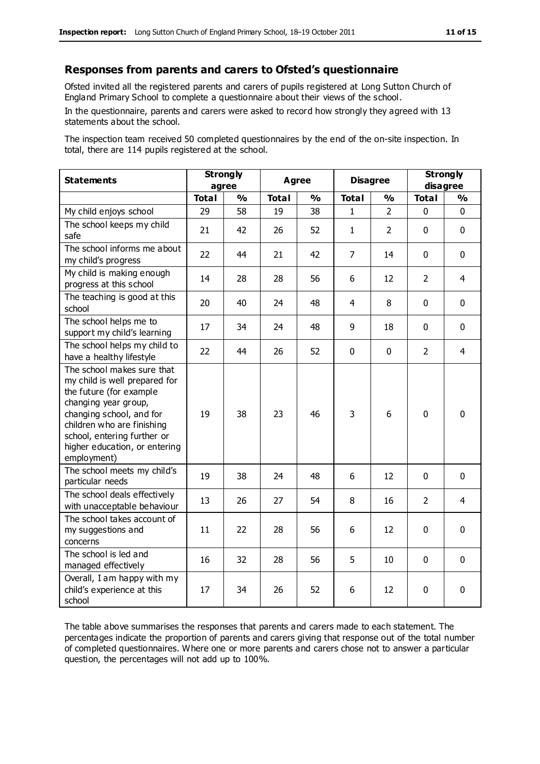#### **Responses from parents and carers to Ofsted's questionnaire**

Ofsted invited all the registered parents and carers of pupils registered at Long Sutton Church of England Primary School to complete a questionnaire about their views of the school.

In the questionnaire, parents and carers were asked to record how strongly they agreed with 13 statements about the school.

The inspection team received 50 completed questionnaires by the end of the on-site inspection. In total, there are 114 pupils registered at the school.

| <b>Statements</b>                                                                                                                                                                                                                                       | <b>Strongly</b><br>agree |               | <b>Agree</b> |               | <b>Disagree</b> |                | <b>Strongly</b><br>disagree |                |
|---------------------------------------------------------------------------------------------------------------------------------------------------------------------------------------------------------------------------------------------------------|--------------------------|---------------|--------------|---------------|-----------------|----------------|-----------------------------|----------------|
|                                                                                                                                                                                                                                                         | <b>Total</b>             | $\frac{0}{0}$ | <b>Total</b> | $\frac{1}{2}$ | <b>Total</b>    | $\frac{0}{0}$  | <b>Total</b>                | $\frac{1}{2}$  |
| My child enjoys school                                                                                                                                                                                                                                  | 29                       | 58            | 19           | 38            | 1               | $\mathcal{P}$  | 0                           | $\Omega$       |
| The school keeps my child<br>safe                                                                                                                                                                                                                       | 21                       | 42            | 26           | 52            | $\mathbf{1}$    | $\overline{2}$ | $\mathbf{0}$                | $\mathbf 0$    |
| The school informs me about<br>my child's progress                                                                                                                                                                                                      | 22                       | 44            | 21           | 42            | $\overline{7}$  | 14             | $\mathbf 0$                 | $\mathbf 0$    |
| My child is making enough<br>progress at this school                                                                                                                                                                                                    | 14                       | 28            | 28           | 56            | 6               | 12             | $\overline{2}$              | 4              |
| The teaching is good at this<br>school                                                                                                                                                                                                                  | 20                       | 40            | 24           | 48            | 4               | 8              | $\mathbf 0$                 | $\mathbf 0$    |
| The school helps me to<br>support my child's learning                                                                                                                                                                                                   | 17                       | 34            | 24           | 48            | 9               | 18             | $\mathbf 0$                 | $\mathbf 0$    |
| The school helps my child to<br>have a healthy lifestyle                                                                                                                                                                                                | 22                       | 44            | 26           | 52            | 0               | $\mathbf 0$    | $\overline{2}$              | $\overline{4}$ |
| The school makes sure that<br>my child is well prepared for<br>the future (for example<br>changing year group,<br>changing school, and for<br>children who are finishing<br>school, entering further or<br>higher education, or entering<br>employment) | 19                       | 38            | 23           | 46            | 3               | 6              | $\mathbf 0$                 | $\mathbf 0$    |
| The school meets my child's<br>particular needs                                                                                                                                                                                                         | 19                       | 38            | 24           | 48            | 6               | 12             | $\mathbf 0$                 | $\mathbf 0$    |
| The school deals effectively<br>with unacceptable behaviour                                                                                                                                                                                             | 13                       | 26            | 27           | 54            | 8               | 16             | $\overline{2}$              | 4              |
| The school takes account of<br>my suggestions and<br>concerns                                                                                                                                                                                           | 11                       | 22            | 28           | 56            | 6               | 12             | $\mathbf 0$                 | $\mathbf 0$    |
| The school is led and<br>managed effectively                                                                                                                                                                                                            | 16                       | 32            | 28           | 56            | 5               | 10             | $\mathbf 0$                 | $\mathbf 0$    |
| Overall, I am happy with my<br>child's experience at this<br>school                                                                                                                                                                                     | 17                       | 34            | 26           | 52            | 6               | 12             | $\mathbf 0$                 | 0              |

The table above summarises the responses that parents and carers made to each statement. The percentages indicate the proportion of parents and carers giving that response out of the total number of completed questionnaires. Where one or more parents and carers chose not to answer a particular question, the percentages will not add up to 100%.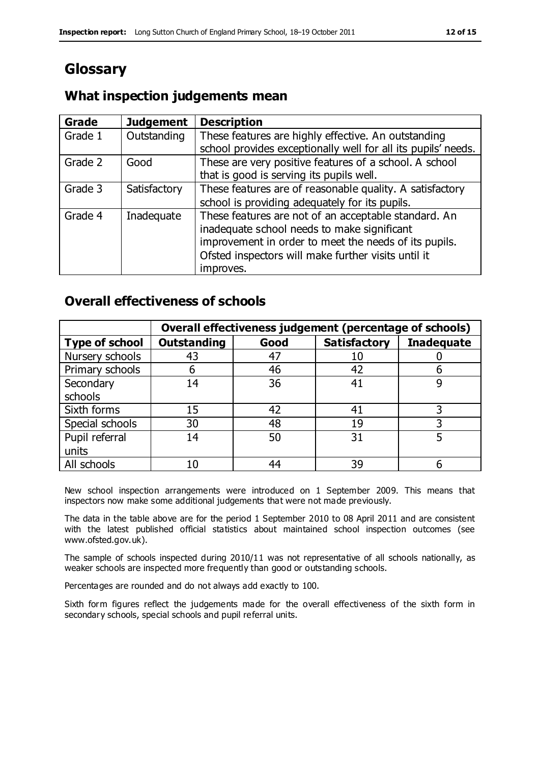# **Glossary**

## **What inspection judgements mean**

| <b>Grade</b> | <b>Judgement</b> | <b>Description</b>                                                                                                                                                                                                               |
|--------------|------------------|----------------------------------------------------------------------------------------------------------------------------------------------------------------------------------------------------------------------------------|
| Grade 1      | Outstanding      | These features are highly effective. An outstanding<br>school provides exceptionally well for all its pupils' needs.                                                                                                             |
| Grade 2      | Good             | These are very positive features of a school. A school<br>that is good is serving its pupils well.                                                                                                                               |
| Grade 3      | Satisfactory     | These features are of reasonable quality. A satisfactory<br>school is providing adequately for its pupils.                                                                                                                       |
| Grade 4      | Inadequate       | These features are not of an acceptable standard. An<br>inadequate school needs to make significant<br>improvement in order to meet the needs of its pupils.<br>Ofsted inspectors will make further visits until it<br>improves. |

### **Overall effectiveness of schools**

|                 | Overall effectiveness judgement (percentage of schools) |      |                     |                   |
|-----------------|---------------------------------------------------------|------|---------------------|-------------------|
| Type of school  | <b>Outstanding</b>                                      | Good | <b>Satisfactory</b> | <b>Inadequate</b> |
| Nursery schools | 43                                                      | 47   | 10                  |                   |
| Primary schools | h                                                       | 46   | 42                  |                   |
| Secondary       | 14                                                      | 36   | 41                  |                   |
| schools         |                                                         |      |                     |                   |
| Sixth forms     | 15                                                      | 42   | 41                  | 3                 |
| Special schools | 30                                                      | 48   | 19                  |                   |
| Pupil referral  | 14                                                      | 50   | 31                  |                   |
| units           |                                                         |      |                     |                   |
| All schools     | 10                                                      | 44   | 39                  |                   |

New school inspection arrangements were introduced on 1 September 2009. This means that inspectors now make some additional judgements that were not made previously.

The data in the table above are for the period 1 September 2010 to 08 April 2011 and are consistent with the latest published official statistics about maintained school inspection outcomes (see www.ofsted.gov.uk).

The sample of schools inspected during 2010/11 was not representative of all schools nationally, as weaker schools are inspected more frequently than good or outstanding schools.

Percentages are rounded and do not always add exactly to 100.

Sixth form figures reflect the judgements made for the overall effectiveness of the sixth form in secondary schools, special schools and pupil referral units.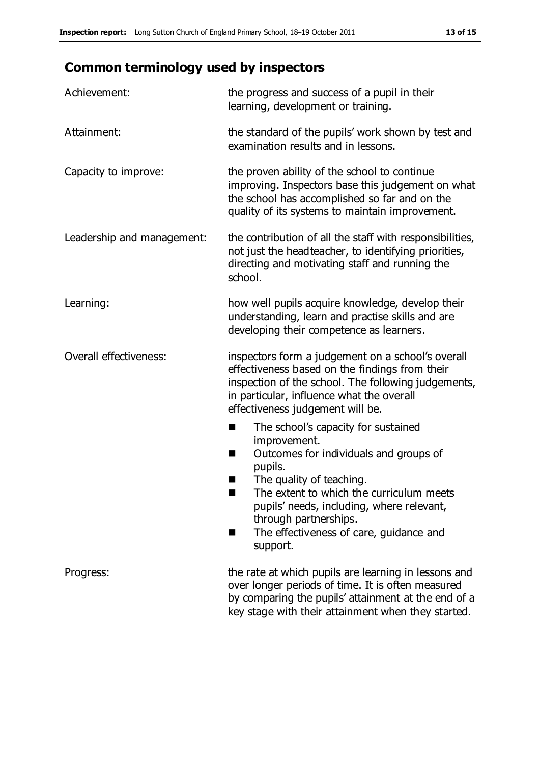# **Common terminology used by inspectors**

| Achievement:               | the progress and success of a pupil in their<br>learning, development or training.                                                                                                                                                                                                                                            |
|----------------------------|-------------------------------------------------------------------------------------------------------------------------------------------------------------------------------------------------------------------------------------------------------------------------------------------------------------------------------|
| Attainment:                | the standard of the pupils' work shown by test and<br>examination results and in lessons.                                                                                                                                                                                                                                     |
| Capacity to improve:       | the proven ability of the school to continue<br>improving. Inspectors base this judgement on what<br>the school has accomplished so far and on the<br>quality of its systems to maintain improvement.                                                                                                                         |
| Leadership and management: | the contribution of all the staff with responsibilities,<br>not just the headteacher, to identifying priorities,<br>directing and motivating staff and running the<br>school.                                                                                                                                                 |
| Learning:                  | how well pupils acquire knowledge, develop their<br>understanding, learn and practise skills and are<br>developing their competence as learners.                                                                                                                                                                              |
| Overall effectiveness:     | inspectors form a judgement on a school's overall<br>effectiveness based on the findings from their<br>inspection of the school. The following judgements,<br>in particular, influence what the overall<br>effectiveness judgement will be.                                                                                   |
|                            | The school's capacity for sustained<br>E<br>improvement.<br>Outcomes for individuals and groups of<br>H<br>pupils.<br>The quality of teaching.<br>The extent to which the curriculum meets<br>pupils' needs, including, where relevant,<br>through partnerships.<br>The effectiveness of care, guidance and<br>H.<br>support. |
| Progress:                  | the rate at which pupils are learning in lessons and<br>over longer periods of time. It is often measured<br>by comparing the pupils' attainment at the end of a<br>key stage with their attainment when they started.                                                                                                        |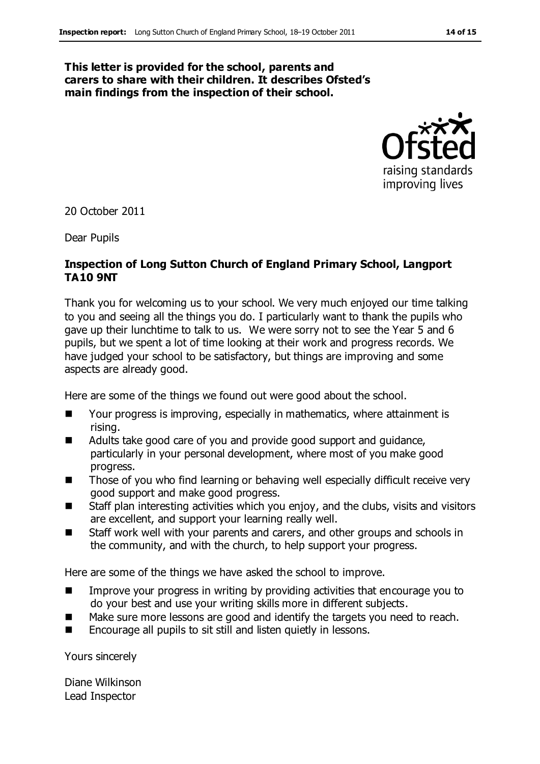#### **This letter is provided for the school, parents and carers to share with their children. It describes Ofsted's main findings from the inspection of their school.**



20 October 2011

Dear Pupils

#### **Inspection of Long Sutton Church of England Primary School, Langport TA10 9NT**

Thank you for welcoming us to your school. We very much enjoyed our time talking to you and seeing all the things you do. I particularly want to thank the pupils who gave up their lunchtime to talk to us. We were sorry not to see the Year 5 and 6 pupils, but we spent a lot of time looking at their work and progress records. We have judged your school to be satisfactory, but things are improving and some aspects are already good.

Here are some of the things we found out were good about the school.

- Your progress is improving, especially in mathematics, where attainment is rising.
- Adults take good care of you and provide good support and guidance, particularly in your personal development, where most of you make good progress.
- Those of you who find learning or behaving well especially difficult receive very good support and make good progress.
- Staff plan interesting activities which you enjoy, and the clubs, visits and visitors are excellent, and support your learning really well.
- Staff work well with your parents and carers, and other groups and schools in the community, and with the church, to help support your progress.

Here are some of the things we have asked the school to improve.

- **IMPROVE 1998** Improve your progress in writing by providing activities that encourage you to do your best and use your writing skills more in different subjects.
- Make sure more lessons are good and identify the targets you need to reach.
- Encourage all pupils to sit still and listen quietly in lessons.

Yours sincerely

Diane Wilkinson Lead Inspector